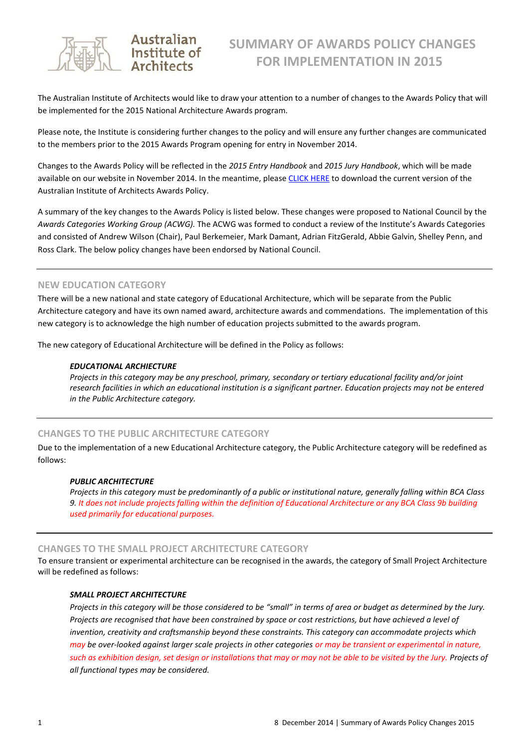

# Australian Institute of **Architects**

The Australian Institute of Architects would like to draw your attention to a number of changes to the Awards Policy that will be implemented for the 2015 National Architecture Awards program.

Please note, the Institute is considering further changes to the policy and will ensure any further changes are communicated to the members prior to the 2015 Awards Program opening for entry in November 2014.

Changes to the Awards Policy will be reflected in the *2015 Entry Handbook* and *2015 Jury Handbook*, which will be made available on our website in November 2014. In the meantime, please [CLICK HERE](http://www.architecture.com.au/events/national/awards/important-documents) to download the current version of the Australian Institute of Architects Awards Policy.

A summary of the key changes to the Awards Policy is listed below. These changes were proposed to National Council by the *Awards Categories Working Group (ACWG).* The ACWG was formed to conduct a review of the Institute's Awards Categories and consisted of Andrew Wilson (Chair), Paul Berkemeier, Mark Damant, Adrian FitzGerald, Abbie Galvin, Shelley Penn, and Ross Clark. The below policy changes have been endorsed by National Council.

# **NEW EDUCATION CATEGORY**

There will be a new national and state category of Educational Architecture, which will be separate from the Public Architecture category and have its own named award, architecture awards and commendations. The implementation of this new category is to acknowledge the high number of education projects submitted to the awards program.

The new category of Educational Architecture will be defined in the Policy as follows:

# *EDUCATIONAL ARCHIECTURE*

*Projects in this category may be any preschool, primary, secondary or tertiary educational facility and/or joint research facilities in which an educational institution is a significant partner. Education projects may not be entered in the Public Architecture category.*

# **CHANGES TO THE PUBLIC ARCHITECTURE CATEGORY**

Due to the implementation of a new Educational Architecture category, the Public Architecture category will be redefined as follows:

# *PUBLIC ARCHITECTURE*

*Projects in this category must be predominantly of a public or institutional nature, generally falling within BCA Class 9. It does not include projects falling within the definition of Educational Architecture or any BCA Class 9b building used primarily for educational purposes.*

# **CHANGES TO THE SMALL PROJECT ARCHITECTURE CATEGORY**

To ensure transient or experimental architecture can be recognised in the awards, the category of Small Project Architecture will be redefined as follows:

# *SMALL PROJECT ARCHITECTURE*

*Projects in this category will be those considered to be "small" in terms of area or budget as determined by the Jury. Projects are recognised that have been constrained by space or cost restrictions, but have achieved a level of invention, creativity and craftsmanship beyond these constraints. This category can accommodate projects which may be over-looked against larger scale projects in other categories or may be transient or experimental in nature, such as exhibition design, set design or installations that may or may not be able to be visited by the Jury. Projects of all functional types may be considered.*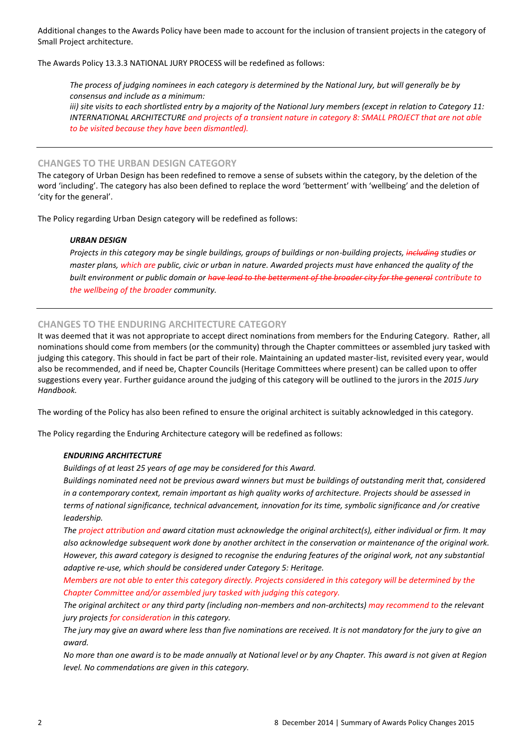Additional changes to the Awards Policy have been made to account for the inclusion of transient projects in the category of Small Project architecture.

The Awards Policy 13.3.3 NATIONAL JURY PROCESS will be redefined as follows:

*The process of judging nominees in each category is determined by the National Jury, but will generally be by consensus and include as a minimum:*

*iii) site visits to each shortlisted entry by a majority of the National Jury members (except in relation to Category 11: INTERNATIONAL ARCHITECTURE and projects of a transient nature in category 8: SMALL PROJECT that are not able to be visited because they have been dismantled).*

# **CHANGES TO THE URBAN DESIGN CATEGORY**

The category of Urban Design has been redefined to remove a sense of subsets within the category, by the deletion of the word 'including'. The category has also been defined to replace the word 'betterment' with 'wellbeing' and the deletion of 'city for the general'.

The Policy regarding Urban Design category will be redefined as follows:

# *URBAN DESIGN*

*Projects in this category may be single buildings, groups of buildings or non-building projects, including studies or master plans, which are public, civic or urban in nature. Awarded projects must have enhanced the quality of the built environment or public domain or have lead to the betterment of the broader city for the general contribute to the wellbeing of the broader community.*

# **CHANGES TO THE ENDURING ARCHITECTURE CATEGORY**

It was deemed that it was not appropriate to accept direct nominations from members for the Enduring Category. Rather, all nominations should come from members (or the community) through the Chapter committees or assembled jury tasked with judging this category. This should in fact be part of their role. Maintaining an updated master-list, revisited every year, would also be recommended, and if need be, Chapter Councils (Heritage Committees where present) can be called upon to offer suggestions every year. Further guidance around the judging of this category will be outlined to the jurors in the *2015 Jury Handbook.*

The wording of the Policy has also been refined to ensure the original architect is suitably acknowledged in this category.

The Policy regarding the Enduring Architecture category will be redefined as follows:

#### *ENDURING ARCHITECTURE*

*Buildings of at least 25 years of age may be considered for this Award.*

*Buildings nominated need not be previous award winners but must be buildings of outstanding merit that, considered in a contemporary context, remain important as high quality works of architecture. Projects should be assessed in terms of national significance, technical advancement, innovation for its time, symbolic significance and /or creative leadership.*

*The project attribution and award citation must acknowledge the original architect(s), either individual or firm. It may also acknowledge subsequent work done by another architect in the conservation or maintenance of the original work. However, this award category is designed to recognise the enduring features of the original work, not any substantial adaptive re-use, which should be considered under Category 5: Heritage.*

*Members are not able to enter this category directly. Projects considered in this category will be determined by the Chapter Committee and/or assembled jury tasked with judging this category.*

*The original architect or any third party (including non-members and non-architects) may recommend to the relevant jury projects for consideration in this category.*

*The jury may give an award where less than five nominations are received. It is not mandatory for the jury to give an award.*

*No more than one award is to be made annually at National level or by any Chapter. This award is not given at Region level. No commendations are given in this category.*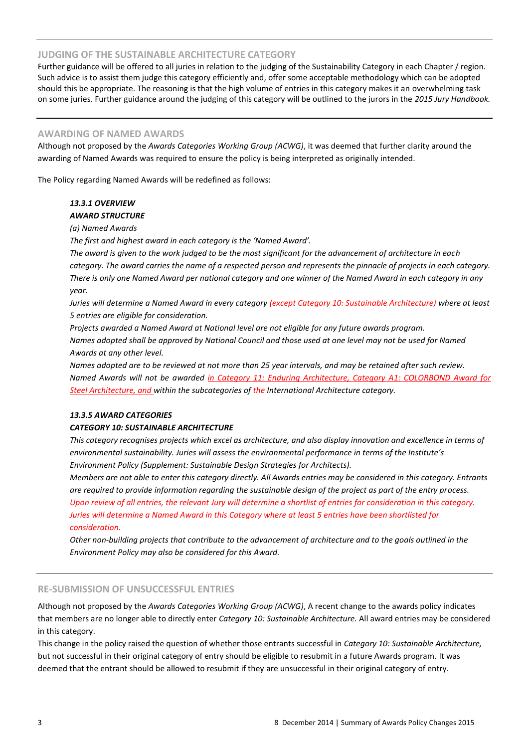# **JUDGING OF THE SUSTAINABLE ARCHITECTURE CATEGORY**

Further guidance will be offered to all juries in relation to the judging of the Sustainability Category in each Chapter / region. Such advice is to assist them judge this category efficiently and, offer some acceptable methodology which can be adopted should this be appropriate. The reasoning is that the high volume of entries in this category makes it an overwhelming task on some juries. Further guidance around the judging of this category will be outlined to the jurors in the *2015 Jury Handbook.*

### **AWARDING OF NAMED AWARDS**

Although not proposed by the *Awards Categories Working Group (ACWG)*, it was deemed that further clarity around the awarding of Named Awards was required to ensure the policy is being interpreted as originally intended.

The Policy regarding Named Awards will be redefined as follows:

# *13.3.1 OVERVIEW*

### *AWARD STRUCTURE*

### *(a) Named Awards*

*The first and highest award in each category is the 'Named Award'.* 

*The award is given to the work judged to be the most significant for the advancement of architecture in each category. The award carries the name of a respected person and represents the pinnacle of projects in each category. There is only one Named Award per national category and one winner of the Named Award in each category in any year.* 

*Juries will determine a Named Award in every category (except Category 10: Sustainable Architecture) where at least 5 entries are eligible for consideration.* 

*Projects awarded a Named Award at National level are not eligible for any future awards program. Names adopted shall be approved by National Council and those used at one level may not be used for Named Awards at any other level.* 

*Names adopted are to be reviewed at not more than 25 year intervals, and may be retained after such review. Named Awards will not be awarded in Category 11: Enduring Architecture, Category A1: COLORBOND Award for Steel Architecture, and within the subcategories of the International Architecture category.*

#### *13.3.5 AWARD CATEGORIES*

# *CATEGORY 10: SUSTAINABLE ARCHITECTURE*

*This category recognises projects which excel as architecture, and also display innovation and excellence in terms of environmental sustainability. Juries will assess the environmental performance in terms of the Institute's Environment Policy (Supplement: Sustainable Design Strategies for Architects).* 

*Members are not able to enter this category directly. All Awards entries may be considered in this category. Entrants are required to provide information regarding the sustainable design of the project as part of the entry process. Upon review of all entries, the relevant Jury will determine a shortlist of entries for consideration in this category. Juries will determine a Named Award in this Category where at least 5 entries have been shortlisted for consideration.* 

*Other non-building projects that contribute to the advancement of architecture and to the goals outlined in the Environment Policy may also be considered for this Award.* 

# **RE-SUBMISSION OF UNSUCCESSFUL ENTRIES**

Although not proposed by the *Awards Categories Working Group (ACWG)*, A recent change to the awards policy indicates that members are no longer able to directly enter *Category 10: Sustainable Architecture.* All award entries may be considered in this category.

This change in the policy raised the question of whether those entrants successful in *Category 10: Sustainable Architecture,*  but not successful in their original category of entry should be eligible to resubmit in a future Awards program. It was deemed that the entrant should be allowed to resubmit if they are unsuccessful in their original category of entry.